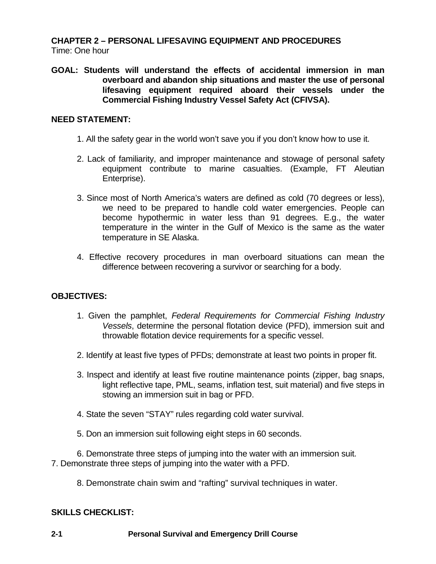# **CHAPTER 2 – PERSONAL LIFESAVING EQUIPMENT AND PROCEDURES** Time: One hour

**GOAL: Students will understand the effects of accidental immersion in man overboard and abandon ship situations and master the use of personal lifesaving equipment required aboard their vessels under the Commercial Fishing Industry Vessel Safety Act (CFIVSA).**

# **NEED STATEMENT:**

- 1. All the safety gear in the world won't save you if you don't know how to use it.
- 2. Lack of familiarity, and improper maintenance and stowage of personal safety equipment contribute to marine casualties. (Example, FT Aleutian Enterprise).
- 3. Since most of North America's waters are defined as cold (70 degrees or less), we need to be prepared to handle cold water emergencies. People can become hypothermic in water less than 91 degrees. E.g., the water temperature in the winter in the Gulf of Mexico is the same as the water temperature in SE Alaska.
- 4. Effective recovery procedures in man overboard situations can mean the difference between recovering a survivor or searching for a body.

# **OBJECTIVES:**

- 1. Given the pamphlet, *Federal Requirements for Commercial Fishing Industry Vessels*, determine the personal flotation device (PFD), immersion suit and throwable flotation device requirements for a specific vessel.
- 2. Identify at least five types of PFDs; demonstrate at least two points in proper fit.
- 3. Inspect and identify at least five routine maintenance points (zipper, bag snaps, light reflective tape, PML, seams, inflation test, suit material) and five steps in stowing an immersion suit in bag or PFD.
- 4. State the seven "STAY" rules regarding cold water survival.
- 5. Don an immersion suit following eight steps in 60 seconds.

6. Demonstrate three steps of jumping into the water with an immersion suit. 7. Demonstrate three steps of jumping into the water with a PFD.

8. Demonstrate chain swim and "rafting" survival techniques in water.

# **SKILLS CHECKLIST:**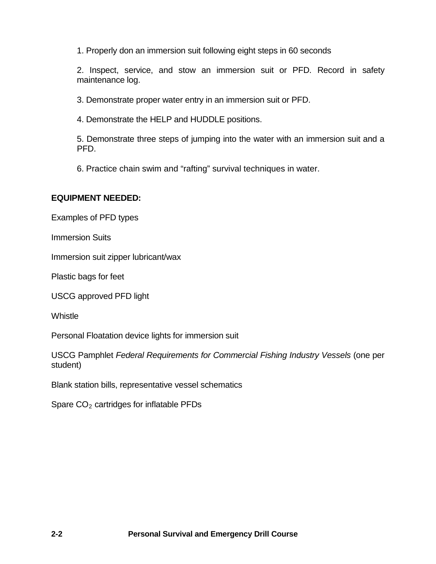1. Properly don an immersion suit following eight steps in 60 seconds

2. Inspect, service, and stow an immersion suit or PFD. Record in safety maintenance log.

3. Demonstrate proper water entry in an immersion suit or PFD.

4. Demonstrate the HELP and HUDDLE positions.

5. Demonstrate three steps of jumping into the water with an immersion suit and a PFD.

6. Practice chain swim and "rafting" survival techniques in water.

# **EQUIPMENT NEEDED:**

Examples of PFD types

Immersion Suits

Immersion suit zipper lubricant/wax

Plastic bags for feet

USCG approved PFD light

**Whistle** 

Personal Floatation device lights for immersion suit

USCG Pamphlet *Federal Requirements for Commercial Fishing Industry Vessels* (one per student)

Blank station bills, representative vessel schematics

Spare  $CO<sub>2</sub>$  cartridges for inflatable PFDs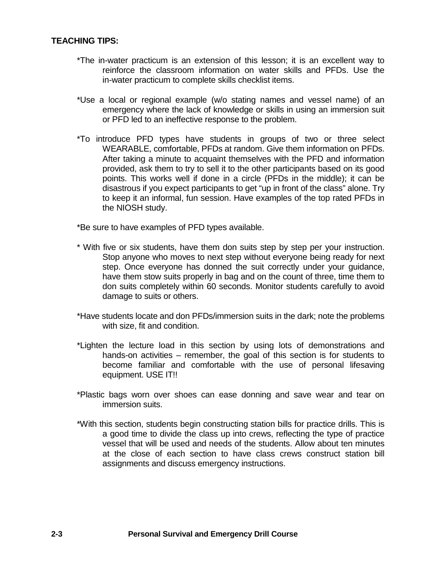### **TEACHING TIPS:**

- \*The in-water practicum is an extension of this lesson; it is an excellent way to reinforce the classroom information on water skills and PFDs. Use the in-water practicum to complete skills checklist items.
- \*Use a local or regional example (w/o stating names and vessel name) of an emergency where the lack of knowledge or skills in using an immersion suit or PFD led to an ineffective response to the problem.
- \*To introduce PFD types have students in groups of two or three select WEARABLE, comfortable, PFDs at random. Give them information on PFDs. After taking a minute to acquaint themselves with the PFD and information provided, ask them to try to sell it to the other participants based on its good points. This works well if done in a circle (PFDs in the middle); it can be disastrous if you expect participants to get "up in front of the class" alone. Try to keep it an informal, fun session. Have examples of the top rated PFDs in the NIOSH study.
- \*Be sure to have examples of PFD types available.
- \* With five or six students, have them don suits step by step per your instruction. Stop anyone who moves to next step without everyone being ready for next step. Once everyone has donned the suit correctly under your guidance, have them stow suits properly in bag and on the count of three, time them to don suits completely within 60 seconds. Monitor students carefully to avoid damage to suits or others.
- \*Have students locate and don PFDs/immersion suits in the dark; note the problems with size, fit and condition.
- \*Lighten the lecture load in this section by using lots of demonstrations and hands-on activities – remember, the goal of this section is for students to become familiar and comfortable with the use of personal lifesaving equipment. USE IT!!
- \*Plastic bags worn over shoes can ease donning and save wear and tear on immersion suits.
- \*With this section, students begin constructing station bills for practice drills. This is a good time to divide the class up into crews, reflecting the type of practice vessel that will be used and needs of the students. Allow about ten minutes at the close of each section to have class crews construct station bill assignments and discuss emergency instructions.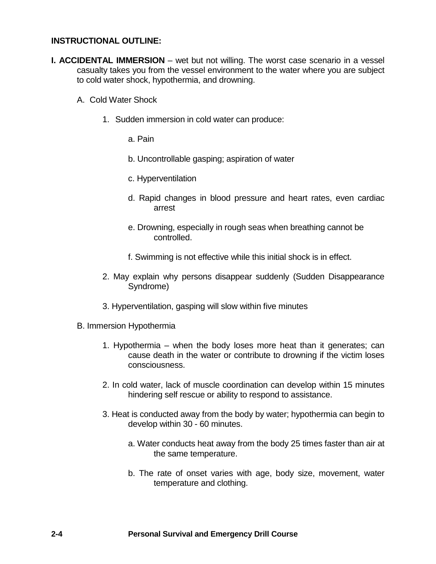### **INSTRUCTIONAL OUTLINE:**

- **I. ACCIDENTAL IMMERSION** wet but not willing. The worst case scenario in a vessel casualty takes you from the vessel environment to the water where you are subject to cold water shock, hypothermia, and drowning.
	- A. Cold Water Shock
		- 1. Sudden immersion in cold water can produce:
			- a. Pain
			- b. Uncontrollable gasping; aspiration of water
			- c. Hyperventilation
			- d. Rapid changes in blood pressure and heart rates, even cardiac arrest
			- e. Drowning, especially in rough seas when breathing cannot be controlled.
			- f. Swimming is not effective while this initial shock is in effect.
		- 2. May explain why persons disappear suddenly (Sudden Disappearance Syndrome)
		- 3. Hyperventilation, gasping will slow within five minutes
	- B. Immersion Hypothermia
		- 1. Hypothermia when the body loses more heat than it generates; can cause death in the water or contribute to drowning if the victim loses consciousness.
		- 2. In cold water, lack of muscle coordination can develop within 15 minutes hindering self rescue or ability to respond to assistance.
		- 3. Heat is conducted away from the body by water; hypothermia can begin to develop within 30 - 60 minutes.
			- a. Water conducts heat away from the body 25 times faster than air at the same temperature.
			- b. The rate of onset varies with age, body size, movement, water temperature and clothing.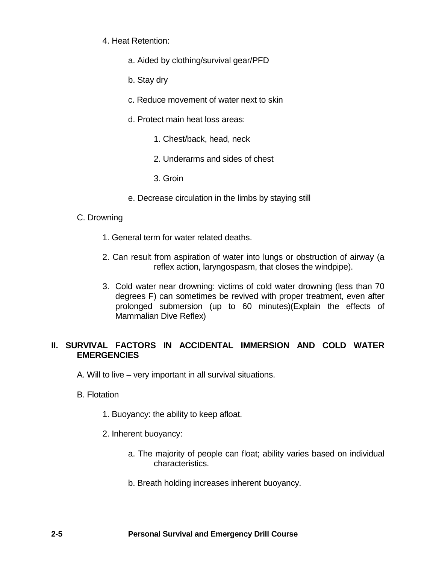- 4. Heat Retention:
	- a. Aided by clothing/survival gear/PFD
	- b. Stay dry
	- c. Reduce movement of water next to skin
	- d. Protect main heat loss areas:
		- 1. Chest/back, head, neck
		- 2. Underarms and sides of chest
		- 3. Groin
	- e. Decrease circulation in the limbs by staying still
- C. Drowning
	- 1. General term for water related deaths.
	- 2. Can result from aspiration of water into lungs or obstruction of airway (a reflex action, laryngospasm, that closes the windpipe).
	- 3. Cold water near drowning: victims of cold water drowning (less than 70 degrees F) can sometimes be revived with proper treatment, even after prolonged submersion (up to 60 minutes)(Explain the effects of Mammalian Dive Reflex)

# **II. SURVIVAL FACTORS IN ACCIDENTAL IMMERSION AND COLD WATER EMERGENCIES**

- A. Will to live very important in all survival situations.
- B. Flotation
	- 1. Buoyancy: the ability to keep afloat.
	- 2. Inherent buoyancy:
		- a. The majority of people can float; ability varies based on individual characteristics.
		- b. Breath holding increases inherent buoyancy.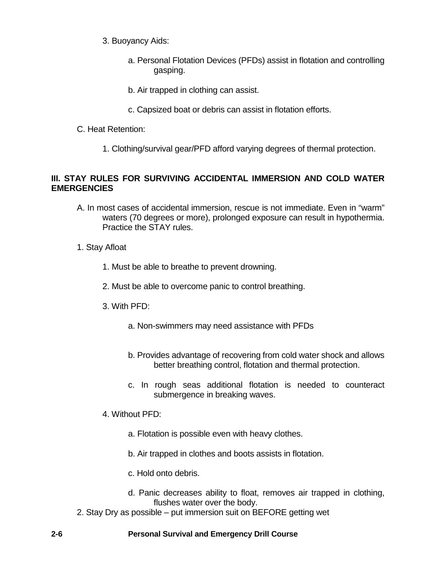- 3. Buoyancy Aids:
	- a. Personal Flotation Devices (PFDs) assist in flotation and controlling gasping.
	- b. Air trapped in clothing can assist.
	- c. Capsized boat or debris can assist in flotation efforts.
- C. Heat Retention:
	- 1. Clothing/survival gear/PFD afford varying degrees of thermal protection.

# **III. STAY RULES FOR SURVIVING ACCIDENTAL IMMERSION AND COLD WATER EMERGENCIES**

- A. In most cases of accidental immersion, rescue is not immediate. Even in "warm" waters (70 degrees or more), prolonged exposure can result in hypothermia. Practice the STAY rules.
- 1. Stay Afloat
	- 1. Must be able to breathe to prevent drowning.
	- 2. Must be able to overcome panic to control breathing.
	- 3. With PFD:
		- a. Non-swimmers may need assistance with PFDs
		- b. Provides advantage of recovering from cold water shock and allows better breathing control, flotation and thermal protection.
		- c. In rough seas additional flotation is needed to counteract submergence in breaking waves.
	- 4. Without PFD:
		- a. Flotation is possible even with heavy clothes.
		- b. Air trapped in clothes and boots assists in flotation.
		- c. Hold onto debris.
		- d. Panic decreases ability to float, removes air trapped in clothing, flushes water over the body.
- 2. Stay Dry as possible put immersion suit on BEFORE getting wet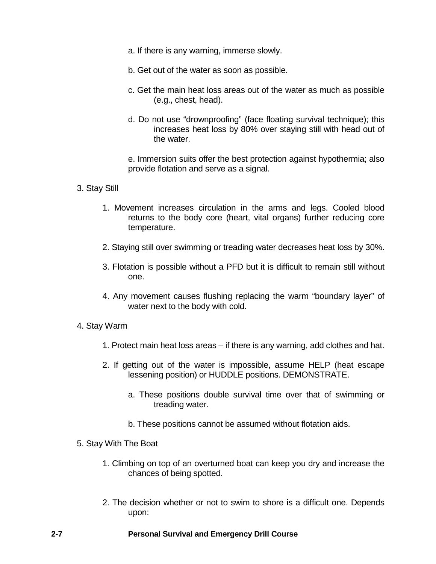- a. If there is any warning, immerse slowly.
- b. Get out of the water as soon as possible.
- c. Get the main heat loss areas out of the water as much as possible (e.g., chest, head).
- d. Do not use "drownproofing" (face floating survival technique); this increases heat loss by 80% over staying still with head out of the water.

e. Immersion suits offer the best protection against hypothermia; also provide flotation and serve as a signal.

#### 3. Stay Still

- 1. Movement increases circulation in the arms and legs. Cooled blood returns to the body core (heart, vital organs) further reducing core temperature.
- 2. Staying still over swimming or treading water decreases heat loss by 30%.
- 3. Flotation is possible without a PFD but it is difficult to remain still without one.
- 4. Any movement causes flushing replacing the warm "boundary layer" of water next to the body with cold.
- 4. Stay Warm
	- 1. Protect main heat loss areas if there is any warning, add clothes and hat.
	- 2. If getting out of the water is impossible, assume HELP (heat escape lessening position) or HUDDLE positions. DEMONSTRATE.
		- a. These positions double survival time over that of swimming or treading water.
		- b. These positions cannot be assumed without flotation aids.

#### 5. Stay With The Boat

- 1. Climbing on top of an overturned boat can keep you dry and increase the chances of being spotted.
- 2. The decision whether or not to swim to shore is a difficult one. Depends upon: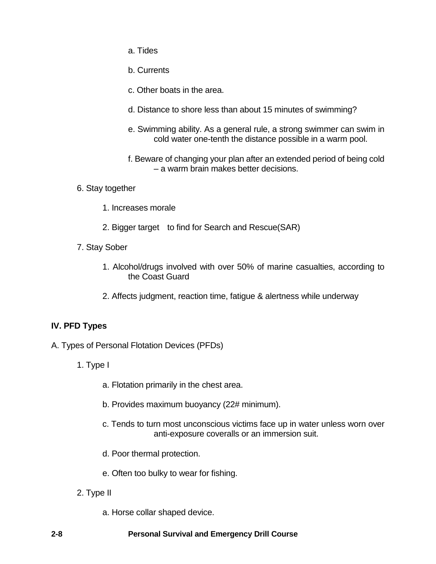- a. Tides
- b. Currents
- c. Other boats in the area.
- d. Distance to shore less than about 15 minutes of swimming?
- e. Swimming ability. As a general rule, a strong swimmer can swim in cold water one-tenth the distance possible in a warm pool.
- f. Beware of changing your plan after an extended period of being cold – a warm brain makes better decisions.
- 6. Stay together
	- 1. Increases morale
	- 2. Bigger target to find for Search and Rescue(SAR)
- 7. Stay Sober
	- 1. Alcohol/drugs involved with over 50% of marine casualties, according to the Coast Guard
	- 2. Affects judgment, reaction time, fatigue & alertness while underway

# **IV. PFD Types**

- A. Types of Personal Flotation Devices (PFDs)
	- 1. Type I
		- a. Flotation primarily in the chest area.
		- b. Provides maximum buoyancy (22# minimum).
		- c. Tends to turn most unconscious victims face up in water unless worn over anti-exposure coveralls or an immersion suit.
		- d. Poor thermal protection.
		- e. Often too bulky to wear for fishing.
	- 2. Type II
		- a. Horse collar shaped device.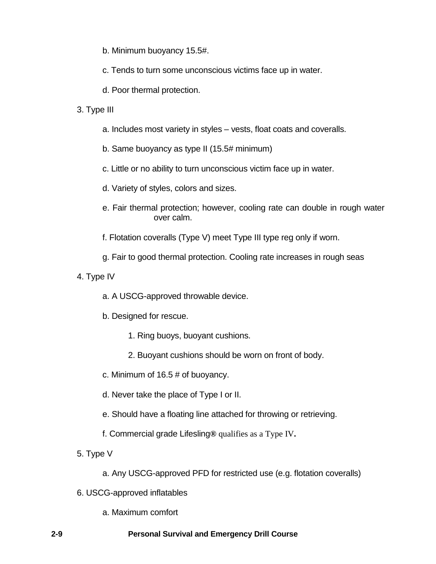- b. Minimum buoyancy 15.5#.
- c. Tends to turn some unconscious victims face up in water.
- d. Poor thermal protection.
- 3. Type III
	- a. Includes most variety in styles vests, float coats and coveralls.
	- b. Same buoyancy as type II (15.5# minimum)
	- c. Little or no ability to turn unconscious victim face up in water.
	- d. Variety of styles, colors and sizes.
	- e. Fair thermal protection; however, cooling rate can double in rough water over calm.
	- f. Flotation coveralls (Type V) meet Type III type reg only if worn.
	- g. Fair to good thermal protection. Cooling rate increases in rough seas
- 4. Type IV
	- a. A USCG-approved throwable device.
	- b. Designed for rescue.
		- 1. Ring buoys, buoyant cushions.
		- 2. Buoyant cushions should be worn on front of body.
	- c. Minimum of 16.5 # of buoyancy.
	- d. Never take the place of Type I or II.
	- e. Should have a floating line attached for throwing or retrieving.
	- f. Commercial grade Lifesling**®** qualifies as a Type IV**.**
- 5. Type V
	- a. Any USCG-approved PFD for restricted use (e.g. flotation coveralls)
- 6. USCG-approved inflatables
	- a. Maximum comfort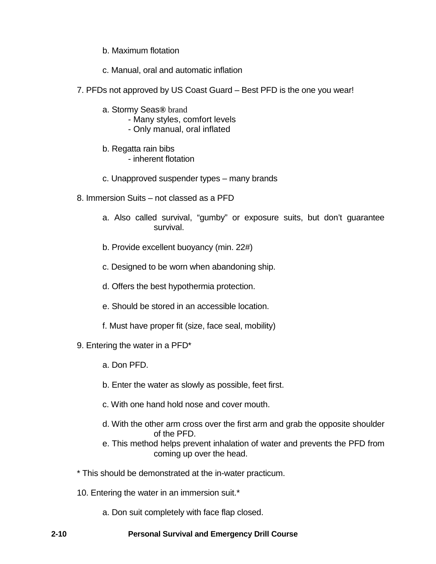- b. Maximum flotation
- c. Manual, oral and automatic inflation
- 7. PFDs not approved by US Coast Guard Best PFD is the one you wear!
	- a. Stormy Seas**®** brand
		- Many styles, comfort levels
		- Only manual, oral inflated
	- b. Regatta rain bibs - inherent flotation
	- c. Unapproved suspender types many brands
- 8. Immersion Suits not classed as a PFD
	- a. Also called survival, "gumby" or exposure suits, but don't guarantee survival.
	- b. Provide excellent buoyancy (min. 22#)
	- c. Designed to be worn when abandoning ship.
	- d. Offers the best hypothermia protection.
	- e. Should be stored in an accessible location.
	- f. Must have proper fit (size, face seal, mobility)
- 9. Entering the water in a PFD\*
	- a. Don PFD.
	- b. Enter the water as slowly as possible, feet first.
	- c. With one hand hold nose and cover mouth.
	- d. With the other arm cross over the first arm and grab the opposite shoulder of the PFD.
	- e. This method helps prevent inhalation of water and prevents the PFD from coming up over the head.
- \* This should be demonstrated at the in-water practicum.
- 10. Entering the water in an immersion suit.\*
	- a. Don suit completely with face flap closed.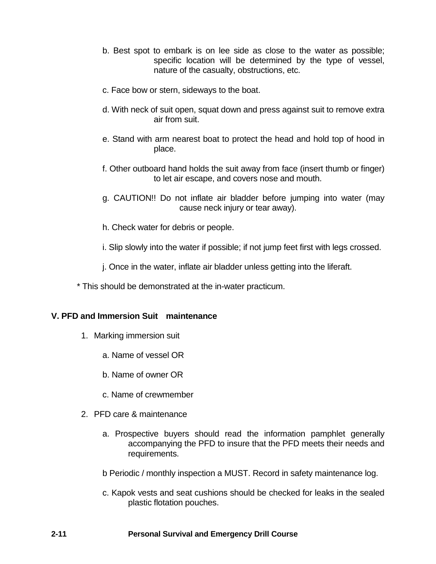- b. Best spot to embark is on lee side as close to the water as possible; specific location will be determined by the type of vessel, nature of the casualty, obstructions, etc.
- c. Face bow or stern, sideways to the boat.
- d. With neck of suit open, squat down and press against suit to remove extra air from suit.
- e. Stand with arm nearest boat to protect the head and hold top of hood in place.
- f. Other outboard hand holds the suit away from face (insert thumb or finger) to let air escape, and covers nose and mouth.
- g. CAUTION!! Do not inflate air bladder before jumping into water (may cause neck injury or tear away).
- h. Check water for debris or people.
- i. Slip slowly into the water if possible; if not jump feet first with legs crossed.
- j. Once in the water, inflate air bladder unless getting into the liferaft.
- \* This should be demonstrated at the in-water practicum.

#### **V. PFD and Immersion Suit maintenance**

- 1. Marking immersion suit
	- a. Name of vessel OR
	- b. Name of owner OR
	- c. Name of crewmember
- 2. PFD care & maintenance
	- a. Prospective buyers should read the information pamphlet generally accompanying the PFD to insure that the PFD meets their needs and requirements.
	- b Periodic / monthly inspection a MUST. Record in safety maintenance log.
	- c. Kapok vests and seat cushions should be checked for leaks in the sealed plastic flotation pouches.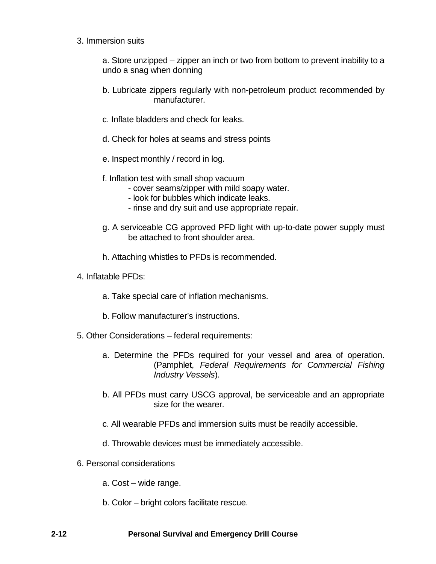3. Immersion suits

a. Store unzipped – zipper an inch or two from bottom to prevent inability to a undo a snag when donning

- b. Lubricate zippers regularly with non-petroleum product recommended by manufacturer.
- c. Inflate bladders and check for leaks.
- d. Check for holes at seams and stress points
- e. Inspect monthly / record in log.
- f. Inflation test with small shop vacuum
	- cover seams/zipper with mild soapy water.
	- look for bubbles which indicate leaks.
	- rinse and dry suit and use appropriate repair.
- g. A serviceable CG approved PFD light with up-to-date power supply must be attached to front shoulder area.
- h. Attaching whistles to PFDs is recommended.
- 4. Inflatable PFDs:
	- a. Take special care of inflation mechanisms.
	- b. Follow manufacturer's instructions.
- 5. Other Considerations federal requirements:
	- a. Determine the PFDs required for your vessel and area of operation. (Pamphlet, *Federal Requirements for Commercial Fishing Industry Vessels*).
	- b. All PFDs must carry USCG approval, be serviceable and an appropriate size for the wearer.
	- c. All wearable PFDs and immersion suits must be readily accessible.
	- d. Throwable devices must be immediately accessible.
- 6. Personal considerations
	- a. Cost wide range.
	- b. Color bright colors facilitate rescue.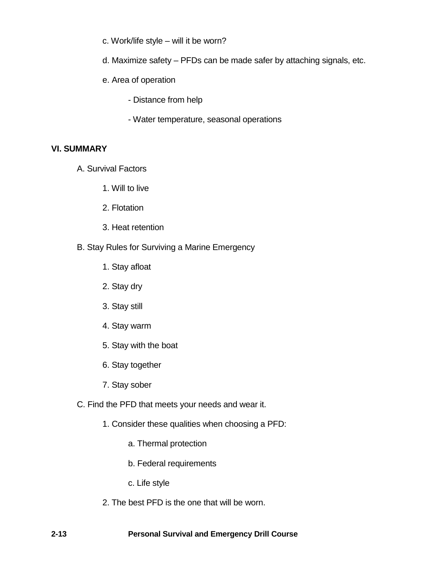- c. Work/life style will it be worn?
- d. Maximize safety PFDs can be made safer by attaching signals, etc.
- e. Area of operation
	- Distance from help
	- Water temperature, seasonal operations

## **VI. SUMMARY**

- A. Survival Factors
	- 1. Will to live
	- 2. Flotation
	- 3. Heat retention
- B. Stay Rules for Surviving a Marine Emergency
	- 1. Stay afloat
	- 2. Stay dry
	- 3. Stay still
	- 4. Stay warm
	- 5. Stay with the boat
	- 6. Stay together
	- 7. Stay sober
- C. Find the PFD that meets your needs and wear it.
	- 1. Consider these qualities when choosing a PFD:
		- a. Thermal protection
		- b. Federal requirements
		- c. Life style
	- 2. The best PFD is the one that will be worn.